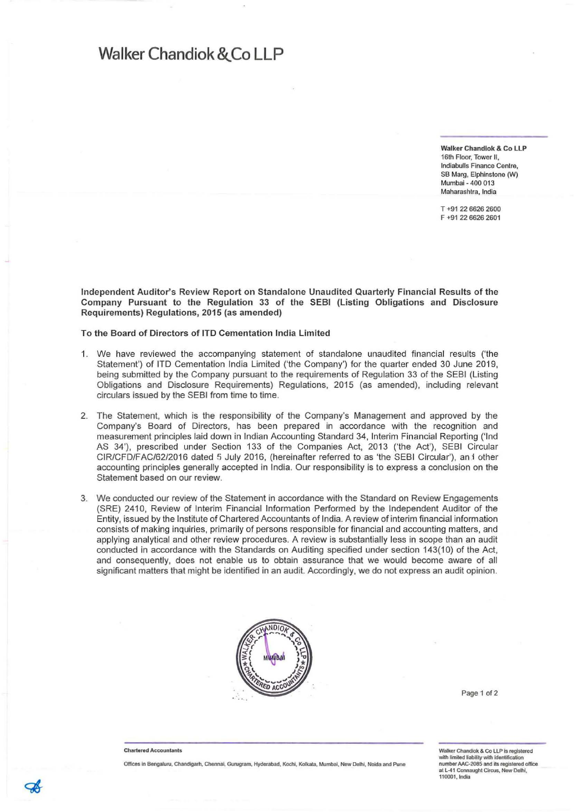## **Walker Chandiok &,Co LLP**

**Walker Chandiok & Co LlP 16th Floor, Tower II, Indiabulls Finance Centre, SB Marg, Elphinslone (W) Mumbai - 400 013 Maharashlra, India**

**T +91 22 6626 2600 F +91 22 6626 2601**

Independent Auditor's Review Report on Standalone Unaudited Quarterly Financial Results of the Company Pursuant to the Regulation 33 of the SEBI (Listing Obligations and Disclosure Requirements) Regulations, 2015 (as amended)

To the Board of Directors of **ITO** Cementation India Limited

- 1. We have reviewed the accompanying statement of standalone unaudited financial results ('the Statement') of ITO Cementation India Limited ('the Company') for the quarter ended 30 June 2019, being submitted by the Company pursuant to the requirements of Regulation 33 of the SEBI (Listing Obligations and Disclosure Requirements) Regulations, 2015 (as amended), including relevant circulars issued by the SEBI from time to time.
- 2. The Statement, which is the responsibility of the Company's Management and approved by the Company's Board of Directors, has been prepared in accordance with the recognition and measurement principles laid down in Indian Accounting Standard 34, Interim Financial Reporting ('Ind AS 34'), prescribed under Section 133 of the Companies Act, 2013 ('the Act'), SEBI Circular CIR/CFD/FAC/62/2016 dated 5 July 2016, (hereinafter referred to as 'the SEBI Circular'), an f other **accounting principles generally accepted in India. Our responsibility is to express a conclusion on the Statement based on our review.**
- We conducted our review of the Statement in accordance with the Standard on Review Engagements (SRE) 2410, Review of Interim Financial Information Performed by the Independent Auditor of the Entity, issued by the Institute of Chartered Accountants of India. A review of interim financial information consists of making inquiries, primarily of persons responsible for financial and accounting matters, and applying analytical and other review procedures. A review is substantially less in scope than an audit conducted in accordance with the Standards on Auditing specified under section 143(10) of the Act, and consequently, does not enable us to obtain assurance that we would become aware of all significant matters that might be identified in an audit. Accordingly, we do not express an audit opinion.



Page 1 **of2**

#### **Chartered Accountants**

**Offices" Bengall.ll\l. Chandigarh, Cheflnai, Gurugram, Hyderabad, Kochl, Kolkala, Mumbai, New Delhi, Noida and Pune**

**Walker Chandiok & CO LlP Is regislered** with limited liability with identification<br>number AAC-2085 and its registered office **al L-41 Coonaughl Circus, New Delhi, 110001, India**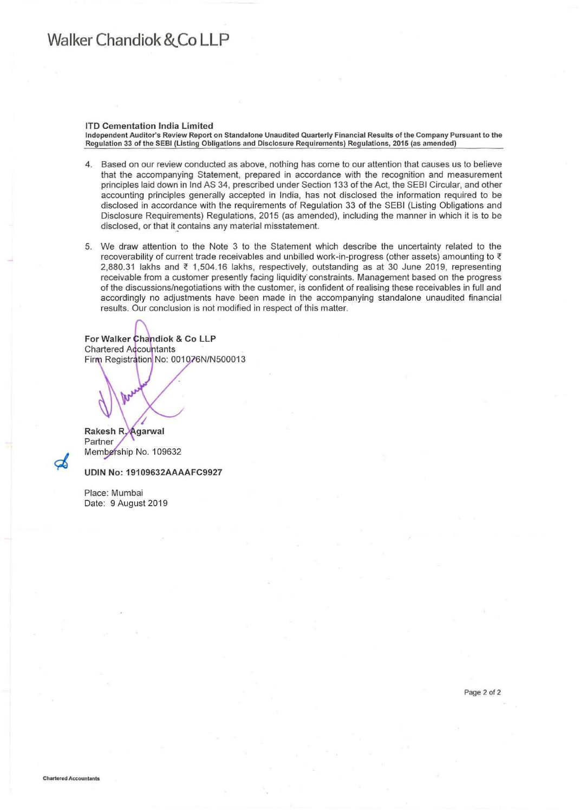# **Walker Chandiok &'Co LLP**

#### ITO Cementation India Limited

Independent Auditor's Review Report on Standalone Unaudited Quarterly Financial Results of the Company Pursuant to the **Regulation 33 of the SEBI (listing Obligations and Disclosure Requirements) Regulations, 2015 (as amended)**

- 4. Based on our review conducted as above, nothing has come to our attention that causes us to believe that the accompanying Statement, prepared in accordance with the recognition and measurement principles laid down in Ind AS 34, prescribed under Section 133 of the Act, the SEBI Circular, and other accounting principles generally accepted in India, has not disclosed the information required to be disclosed in accordance with the requirements of Regulation 33 of the SEBI (Listing Obligations and Disclosure Requirements) Regulations, 2015 (as amended), including the manner in which it is to be **disclosed, or that it\_contains any material misstatement.**
- 5. We draw attention to the Note 3 to the Statement which describe the uncertainty related to the recoverability of current trade receivables and unbilled work-in-progress (other assets) amounting to ₹ 2,880.31 lakhs and ₹ 1,504.16 lakhs, respectively, outstanding as at 30 June 2019, representing receivable from a customer presently facing liquidity constraints. Management based on the progress of the discussions/negotiations with the customer, is confident of realising these receivables in full and accordingly no adjustments have been made in the accompanying standalone unaudited financial results. Our conclusion is not modified in respect of this matter.

For Walker Chandiok & Co LLP **Chartered Accountants** Firm Registration No: 001076N/N500013

Rakesh R. Agarwal Partner Membership No. 109632

### UDIN No: 19109632AAAAFC9927

Place: Mumbai Date: 9 August 2019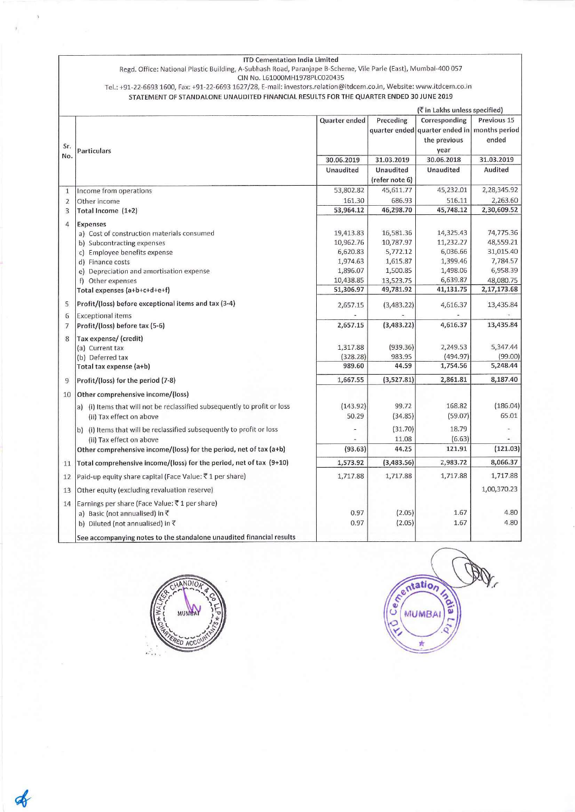|                | <b>ITD Cementation India Limited</b><br>Regd. Office: National Plastic Building, A-Subhash Road, Paranjape B-Scheme, Vile Parle (East), Mumbai-400 057<br>CIN No. L61000MH1978PLC020435 |               |                               |                                               |             |
|----------------|-----------------------------------------------------------------------------------------------------------------------------------------------------------------------------------------|---------------|-------------------------------|-----------------------------------------------|-------------|
|                | Tel.: +91-22-6693 1600, Fax: +91-22-6693 1627/28, E-mail: investors.relation@itdcem.co.in, Website: www.itdcem.co.in                                                                    |               |                               |                                               |             |
|                | STATEMENT OF STANDALONE UNAUDITED FINANCIAL RESULTS FOR THE QUARTER ENDED 30 JUNE 2019                                                                                                  |               |                               |                                               |             |
|                |                                                                                                                                                                                         |               | (₹ in Lakhs unless specified) |                                               |             |
|                |                                                                                                                                                                                         | Quarter ended | Preceding                     | Corresponding                                 | Previous 15 |
|                |                                                                                                                                                                                         |               |                               | quarter ended quarter ended in  months period |             |
| Sr.            |                                                                                                                                                                                         |               |                               | the previous                                  | ended       |
| No.            | Particulars                                                                                                                                                                             |               |                               | year                                          |             |
|                |                                                                                                                                                                                         | 30.06.2019    | 31.03.2019                    | 30.06.2018                                    | 31.03.2019  |
|                |                                                                                                                                                                                         | Unaudited     | Unaudited                     | <b>Unaudited</b>                              | Audited     |
|                |                                                                                                                                                                                         |               | (refer note 6)                |                                               |             |
| $\mathbf{1}$   | Income from operations                                                                                                                                                                  | 53,802.82     | 45,611.77                     | 45,232.01                                     | 2,28,345.92 |
| $\overline{2}$ | Other income                                                                                                                                                                            | 161.30        | 686.93                        | 516.11                                        | 2,263.60    |
| $\overline{3}$ | Total Income (1+2)                                                                                                                                                                      | 53,964.12     | 46,298.70                     | 45,748.12                                     | 2,30,609.52 |
| $\overline{4}$ | <b>Expenses</b>                                                                                                                                                                         |               |                               |                                               |             |
|                | a) Cost of construction materials consumed                                                                                                                                              | 19,413.83     | 16,581.36                     | 14,325.43                                     | 74,775.36   |
|                | b) Subcontracting expenses                                                                                                                                                              | 10,962.76     | 10,787.97                     | 11,232.27                                     | 48,559.21   |
|                | c) Employee benefits expense                                                                                                                                                            | 6,620.83      | 5,772.12                      | 6,036.66                                      | 31,015.40   |
|                | d) Finance costs                                                                                                                                                                        | 1,974.63      | 1,615.87                      | 1,399.46                                      | 7,784.57    |
|                | e) Depreciation and amortisation expense                                                                                                                                                | 1,896.07      | 1,500.85                      | 1,498.06                                      | 6,958.39    |
|                | f) Other expenses                                                                                                                                                                       | 10,438.85     | 13,523.75                     | 6,639.87                                      | 48,080.75   |
|                | Total expenses (a+b+c+d+e+f)                                                                                                                                                            | 51,306.97     | 49,781.92                     | 41,131.75                                     | 2,17,173.68 |
| 5              | Profit/(loss) before exceptional items and tax (3-4)                                                                                                                                    | 2,657.15      | (3,483.22)                    | 4,616.37                                      | 13,435.84   |
| 6              | <b>Exceptional items</b>                                                                                                                                                                |               |                               |                                               |             |
| $\overline{7}$ | Profit/(loss) before tax (5-6)                                                                                                                                                          | 2,657.15      | (3,483.22)                    | 4,616.37                                      | 13,435.84   |
| 8              | Tax expense/ (credit)                                                                                                                                                                   |               |                               |                                               |             |
|                | (a) Current tax                                                                                                                                                                         | 1,317.88      | (939.36)                      | 2,249.53                                      | 5,347.44    |
|                | (b) Deferred tax                                                                                                                                                                        | (328.28)      | 983.95                        | (494.97)                                      | (99.00)     |
|                | Total tax expense (a+b)                                                                                                                                                                 | 989.60        | 44.59                         | 1,754.56                                      | 5,248.44    |
| 9              | Profit/(loss) for the period (7-8)                                                                                                                                                      | 1,667.55      | (3,527.81)                    | 2,861.81                                      | 8,187.40    |
| 10             | Other comprehensive income/(loss)                                                                                                                                                       |               |                               |                                               |             |
|                | a) (i) Items that will not be reclassified subsequently to profit or loss                                                                                                               | (143.92)      | 99.72                         | 168.82                                        | (186.04)    |
|                | (ii) Tax effect on above                                                                                                                                                                | 50.29         | (34.85)                       | (59.07)                                       | 65.01       |
|                | b) (i) Items that will be reclassified subsequently to profit or loss                                                                                                                   |               | (31.70)                       | 18.79                                         |             |
|                | (ii) Tax effect on above                                                                                                                                                                |               | 11.08                         | (6.63)                                        |             |
|                | Other comprehensive income/(loss) for the period, net of tax (a+b)                                                                                                                      | (93.63)       | 44.25                         | 121.91                                        | (121.03)    |
| 11             | Total comprehensive income/(loss) for the period, net of tax (9+10)                                                                                                                     | 1,573.92      | (3,483.56)                    | 2,983.72                                      | 8,066.37    |
| 12             | Paid-up equity share capital (Face Value: ₹1 per share)                                                                                                                                 | 1,717.88      | 1,717.88                      | 1,717.88                                      | 1,717.88    |
| 13             | Other equity (excluding revaluation reserve)                                                                                                                                            |               |                               |                                               | 1,00,370.23 |
| 14             | Earnings per share (Face Value: ₹1 per share)                                                                                                                                           |               |                               |                                               |             |
|                | a) Basic (not annualised) in ₹                                                                                                                                                          | 0.97          | (2.05)                        | 1.67                                          | 4.80        |
|                | b) Diluted (not annualised) in ₹                                                                                                                                                        | 0.97          | (2.05)                        | 1.67                                          | 4.80        |
|                | See accompanying notes to the standalone unaudited financial results                                                                                                                    |               |                               |                                               |             |
|                |                                                                                                                                                                                         |               |                               |                                               |             |



 $\mathbf{r}$